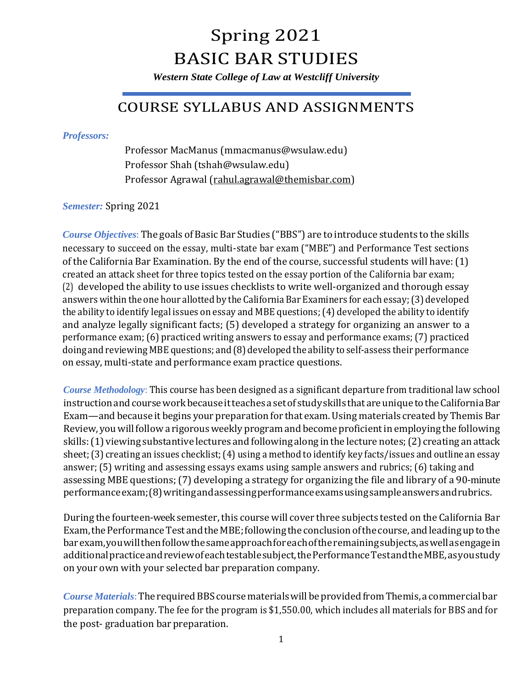# Spring 2021 BASIC BAR STUDIES

*Western State College of Law at Westcliff University*

### COURSE SYLLABUS AND ASSIGNMENTS

*Professors:* 

Professor MacManus (mmacmanus@wsulaw.edu) Professor Shah (tshah@wsulaw.edu) Professor Agrawal [\(rahul.agrawal@themisbar.com\)](mailto:rahul.agrawal@themisbar.com)

*Semester:* Spring 2021

*Course Objectives*: The goals of Basic BarStudies ("BBS") are to introduce students to the skills necessary to succeed on the essay, multi-state bar exam ("MBE") and Performance Test sections of the California Bar Examination. By the end of the course, successful students will have:(1) created an attack sheet for three topics tested on the essay portion of the California bar exam; (2) developed the ability to use issues checklists to write well-organized and thorough essay answers within the one hour allotted by the California Bar Examiners for each essay;(3) developed the ability to identify legal issues on essay and MBE questions;(4) developed the ability to identify and analyze legally significant facts; (5) developed a strategy for organizing an answer to a performance exam; (6) practiced writing answers to essay and performance exams; (7) practiced doing and reviewing MBE questions; and (8) developed the ability to self-assess their performance on essay, multi-state and performance exam practice questions.

*Course Methodology*: This course has been designed as a significant departure from traditional law school instruction and course work because it teaches a set of study skills that are unique to the California Bar Exam—and because it begins your preparation for that exam. Using materials created by Themis Bar Review, you will follow a rigorous weekly program and become proficient in employing the following skills:(1) viewing substantive lectures and following along in the lecture notes;(2) creating an attack sheet; (3) creating an issues checklist; (4) using a method to identify key facts/issues and outlinean essay answer; (5) writing and assessing essays exams using sample answers and rubrics; (6) taking and assessing MBE questions;(7) developing a strategy for organizing the file and library of a 90-minute performanceexam;(8)writingandassessingperformanceexamsusingsampleanswersandrubrics.

During the fourteen-weeksemester, this course will cover three subjects tested on the California Bar Exam, the Performance Test and the MBE; following the conclusion of the course, and leading up to the barexam,youwillthenfollowthesameapproachforeachoftheremainingsubjects,aswellasengagein additionalpracticeandreviewofeachtestablesubject,thePerformanceTestandtheMBE,asyoustudy on your own with your selected bar preparation company.

*Course Materials*: The required BBS course materials will be provided from Themis, a commercial bar preparation company. The fee for the program is \$1,550.00, which includes all materials for BBS and for the post- graduation bar preparation.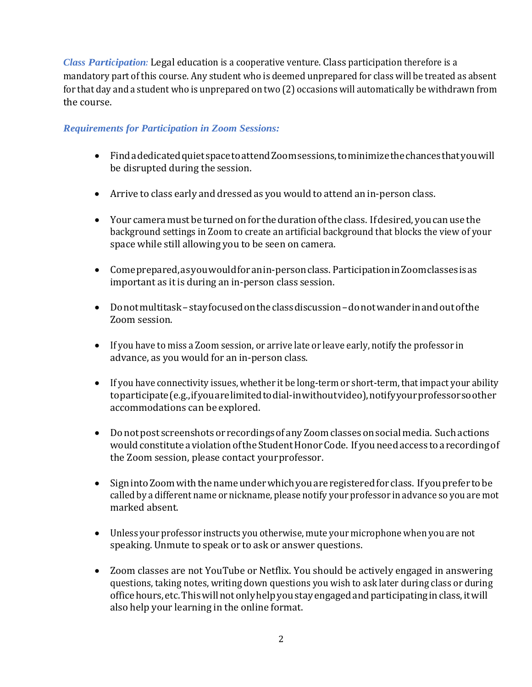*Class Participation:* Legal education is a cooperative venture. Class participation therefore is a mandatory part of this course. Any student who is deemed unprepared for class will be treated as absent for that day and a student who is unprepared on two (2) occasions will automatically be withdrawn from the course.

#### *Requirements for Participation in Zoom Sessions:*

- FindadedicatedquietspacetoattendZoomsessions,tominimizethechancesthatyouwill be disrupted during the session.
- Arrive to class early and dressed as you would to attend an in-person class.
- Your camera must be turned on for the duration of the class. If desired, you can use the background settings in Zoom to create an artificial background that blocks the view of your space while still allowing you to be seen on camera.
- Comeprepared,asyouwouldforanin-personclass. ParticipationinZoomclassesisas important as it is during an in-person class session.
- Donotmultitask–stayfocusedontheclassdiscussion–donotwanderinandoutofthe Zoom session.
- If you have to miss a Zoom session, or arrive late or leave early, notify the professor in advance, as you would for an in-person class.
- If you have connectivity issues, whether it be long-term or short-term, that impact your ability toparticipate(e.g.,ifyouarelimitedtodial-inwithoutvideo),notifyyourprofessorsoother accommodations can be explored.
- Donot post screenshots or recordings of any Zoom classes on social media. Such actions would constitute a violation of the Student Honor Code. If you need access to a recording of the Zoom session, please contact yourprofessor.
- Sign into Zoom with the name under which you are registered for class. If you prefer to be called by a different name or nickname, please notify your professor in advance so you are mot marked absent.
- Unless your professor instructs you otherwise, mute your microphone when you are not speaking. Unmute to speak or to ask or answer questions.
- Zoom classes are not YouTube or Netflix. You should be actively engaged in answering questions, taking notes, writing down questions you wish to ask later during class or during officehours,etc.Thiswillnotonlyhelpyoustayengagedandparticipatinginclass,itwill also help your learning in the online format.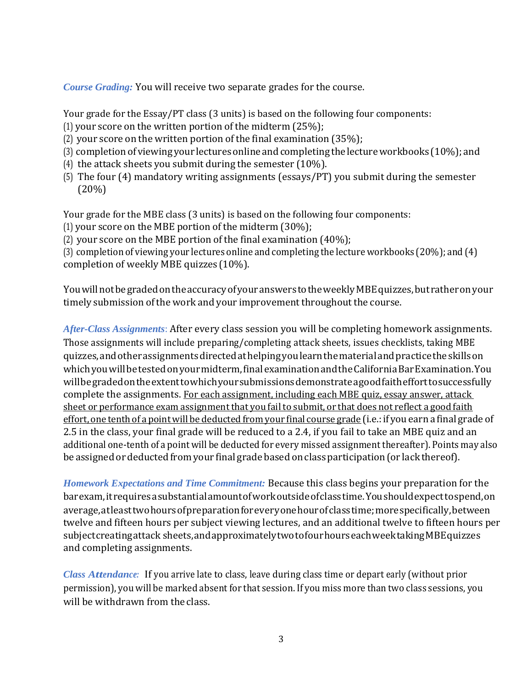*Course Grading:* You will receive two separate grades for the course.

Your grade for the Essay/PT class (3 units) is based on the following four components: (1) your score on the written portion of the midterm (25%);

(2) your score on the written portion of the final examination (35%);

- (3) completion of viewing your lectures online and completing the lecture workbooks (10%); and
- (4) the attack sheets you submit during the semester (10%).
- (5) The four (4) mandatory writing assignments (essays/PT) you submit during the semester (20%)

Your grade for the MBE class (3 units) is based on the following four components:

(1) your score on the MBE portion of the midterm (30%);

(2) your score on the MBE portion of the final examination (40%);

(3) completion of viewing your lectures online and completing the lecture workbooks (20%); and (4) completion of weekly MBE quizzes (10%).

YouwillnotbegradedontheaccuracyofyouranswerstotheweeklyMBEquizzes,butratheronyour timely submission ofthe work and your improvement throughout the course.

*After-Class Assignments*: After every class session you will be completing homework assignments. Those assignments will include preparing/completing attack sheets, issues checklists, taking MBE quizzes,andotherassignmentsdirectedathelpingyoulearnthematerialandpracticetheskillson whichyouwillbetestedonyourmidterm,finalexaminationandtheCaliforniaBarExamination.You willbegradedontheextenttowhichyoursubmissionsdemonstrateagoodfaithefforttosuccessfully complete the assignments. For each assignment, including each MBE quiz, essay answer, attack sheet or performance exam assignment that you fail to submit, or that does not reflect a good faith effort, one tenth of a point will be deducted from your final course grade (i.e.: if you earn a final grade of 2.5 in the class, your final grade will be reduced to a 2.4, if you fail to take an MBE quiz and an additional one-tenth of a point will be deducted for every missed assignment thereafter). Points may also be assigned or deducted from your final grade based on class participation (or lack thereof).

*Homework Expectations and Time Commitment:* Because this class begins your preparation for the barexam,itrequiresasubstantialamountofworkoutsideofclasstime.Youshouldexpecttospend,on average, at least two hours of preparation for every one hour of class time; more specifically, between twelve and fifteen hours per subject viewing lectures, and an additional twelve to fifteen hours per subjectcreatingattack sheets,andapproximatelytwotofourhourseachweektakingMBEquizzes and completing assignments.

*Class Attendance:* If you arrive late to class, leave during class time or depart early (without prior permission), you will be marked absent for that session. If you miss more than two class sessions, you will be withdrawn from the class.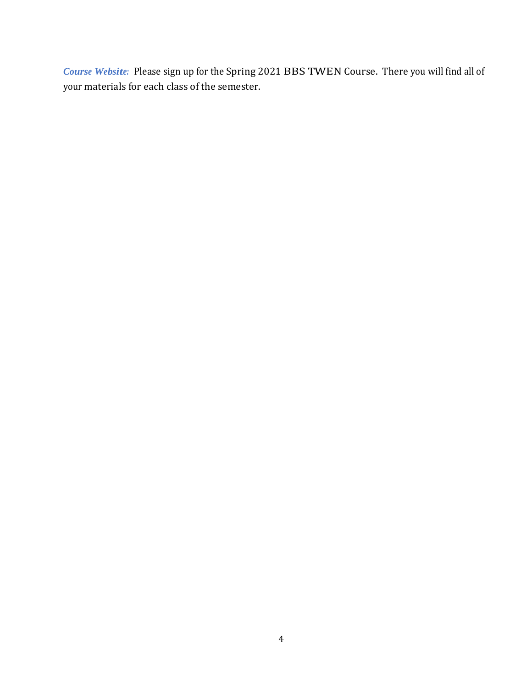*Course Website:* Please sign up for the Spring 2021 BBS TWEN Course. There you will find all of your materials for each class of the semester.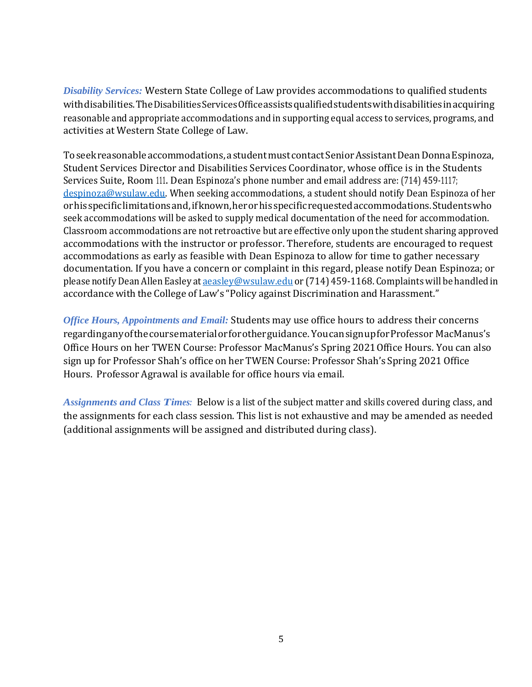*Disability Services:* Western State College of Law provides accommodations to qualified students withdisabilities.TheDisabilitiesServicesOfficeassistsqualifiedstudentswithdisabilitiesinacquiring reasonable and appropriate accommodations and in supporting equal access to services, programs, and activities at Western State College of Law.

Toseekreasonableaccommodations, astudentmust contactSeniorAssistantDeanDonnaEspinoza, Student Services Director and Disabilities Services Coordinator, whose office is in the Students Services Suite, Room 111. Dean Espinoza's phone number and email address are: (714) 459-1117; [despinoza@wsulaw.edu. W](mailto:despinoza@wsulaw.edu)hen seeking accommodations, a student should notify Dean Espinoza of her orhisspecificlimitationsand,ifknown,herorhisspecificrequestedaccommodations.Studentswho seek accommodations will be asked to supply medical documentation of the need for accommodation. Classroom accommodations are not retroactive but are effective only upon the student sharing approved accommodations with the instructor or professor. Therefore, students are encouraged to request accommodations as early as feasible with Dean Espinoza to allow for time to gather necessary documentation. If you have a concern or complaint in this regard, please notify Dean Espinoza; or please notify Dean Allen Easley at [aeasley@wsulaw.edu](mailto:aeasley@wsulaw.edu) or (714) 459-1168. Complaints will be handled in accordance with the College of Law's "Policy against Discrimination and Harassment."

*Office Hours, Appointments and Email:* Students may use office hours to address their concerns regardinganyofthecoursematerialorforotherguidance. YoucansignupforProfessor MacManus's Office Hours on her TWEN Course: Professor MacManus's Spring 2021Office Hours. You can also sign up for Professor Shah's office on her TWEN Course: Professor Shah's Spring 2021 Office Hours. Professor Agrawal is available for office hours via email.

*Assignments and Class Times:* Below is a list of the subject matter and skills covered during class, and the assignments for each class session. This list is not exhaustive and may be amended as needed (additional assignments will be assigned and distributed during class).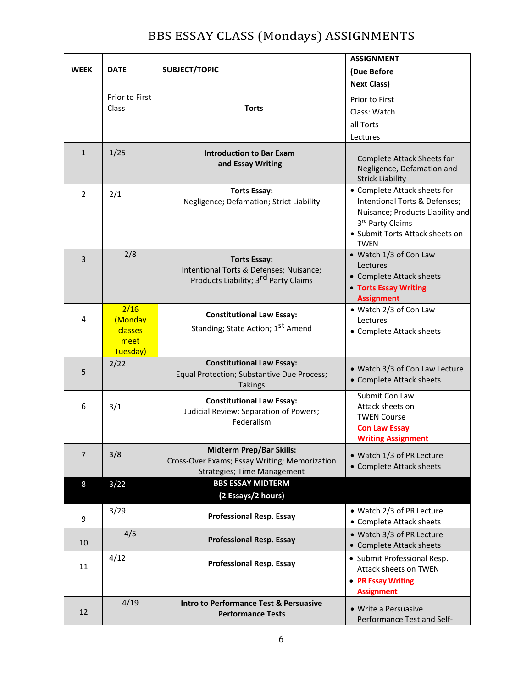### BBS ESSAY CLASS (Mondays) ASSIGNMENTS

|                |                                                |                                                                                                                        | <b>ASSIGNMENT</b>                                                                                                                                                       |
|----------------|------------------------------------------------|------------------------------------------------------------------------------------------------------------------------|-------------------------------------------------------------------------------------------------------------------------------------------------------------------------|
| <b>WEEK</b>    | <b>DATE</b>                                    | <b>SUBJECT/TOPIC</b>                                                                                                   | (Due Before                                                                                                                                                             |
|                |                                                |                                                                                                                        | <b>Next Class)</b>                                                                                                                                                      |
|                | Prior to First                                 |                                                                                                                        | Prior to First                                                                                                                                                          |
|                | Class                                          | <b>Torts</b>                                                                                                           | Class: Watch                                                                                                                                                            |
|                |                                                |                                                                                                                        | all Torts                                                                                                                                                               |
|                |                                                |                                                                                                                        | Lectures                                                                                                                                                                |
| $\mathbf{1}$   | 1/25                                           | <b>Introduction to Bar Exam</b><br>and Essay Writing                                                                   | Complete Attack Sheets for<br>Negligence, Defamation and<br><b>Strick Liability</b>                                                                                     |
| $\overline{2}$ | 2/1                                            | <b>Torts Essay:</b><br>Negligence; Defamation; Strict Liability                                                        | • Complete Attack sheets for<br>Intentional Torts & Defenses;<br>Nuisance; Products Liability and<br>3rd Party Claims<br>• Submit Torts Attack sheets on<br><b>TWEN</b> |
| 3              | 2/8                                            | <b>Torts Essay:</b><br>Intentional Torts & Defenses; Nuisance;<br>Products Liability; 3 <sup>rd</sup> Party Claims     | • Watch 1/3 of Con Law<br>Lectures<br>• Complete Attack sheets<br>• Torts Essay Writing<br><b>Assignment</b>                                                            |
| 4              | 2/16<br>(Monday<br>classes<br>meet<br>Tuesday) | <b>Constitutional Law Essay:</b><br>Standing; State Action; 1 <sup>st</sup> Amend                                      | • Watch 2/3 of Con Law<br>Lectures<br>• Complete Attack sheets                                                                                                          |
| 5              | 2/22                                           | <b>Constitutional Law Essay:</b><br>Equal Protection; Substantive Due Process;<br><b>Takings</b>                       | · Watch 3/3 of Con Law Lecture<br>• Complete Attack sheets                                                                                                              |
| 6              | 3/1                                            | <b>Constitutional Law Essay:</b><br>Judicial Review; Separation of Powers;<br>Federalism                               | Submit Con Law<br>Attack sheets on<br><b>TWEN Course</b><br><b>Con Law Essay</b><br><b>Writing Assignment</b>                                                           |
| $\overline{7}$ | 3/8                                            | <b>Midterm Prep/Bar Skills:</b><br>Cross-Over Exams; Essay Writing; Memorization<br><b>Strategies; Time Management</b> | • Watch 1/3 of PR Lecture<br>• Complete Attack sheets                                                                                                                   |
| 8              | 3/22                                           | <b>BBS ESSAY MIDTERM</b><br>(2 Essays/2 hours)                                                                         |                                                                                                                                                                         |
| 9              | 3/29                                           | <b>Professional Resp. Essay</b>                                                                                        | • Watch 2/3 of PR Lecture<br>• Complete Attack sheets                                                                                                                   |
| 10             | 4/5                                            | <b>Professional Resp. Essay</b>                                                                                        | • Watch 3/3 of PR Lecture<br>• Complete Attack sheets                                                                                                                   |
| 11             | 4/12                                           | <b>Professional Resp. Essay</b>                                                                                        | • Submit Professional Resp.<br>Attack sheets on TWEN<br>• PR Essay Writing<br><b>Assignment</b>                                                                         |
| 12             | 4/19                                           | <b>Intro to Performance Test &amp; Persuasive</b><br><b>Performance Tests</b>                                          | • Write a Persuasive<br>Performance Test and Self-                                                                                                                      |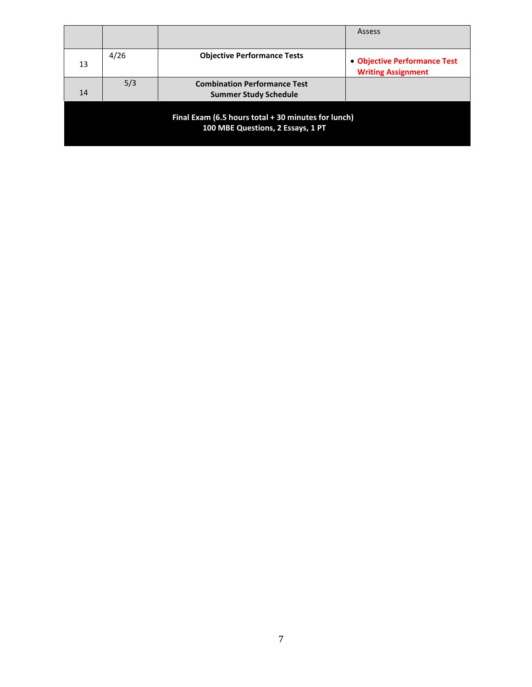|                                                                                          |      |                                                                     | Assess                                                    |
|------------------------------------------------------------------------------------------|------|---------------------------------------------------------------------|-----------------------------------------------------------|
|                                                                                          |      |                                                                     |                                                           |
| 13                                                                                       | 4/26 | <b>Objective Performance Tests</b>                                  | • Objective Performance Test<br><b>Writing Assignment</b> |
| 14                                                                                       | 5/3  | <b>Combination Performance Test</b><br><b>Summer Study Schedule</b> |                                                           |
| Final Exam (6.5 hours total + 30 minutes for lunch)<br>100 MBE Questions, 2 Essays, 1 PT |      |                                                                     |                                                           |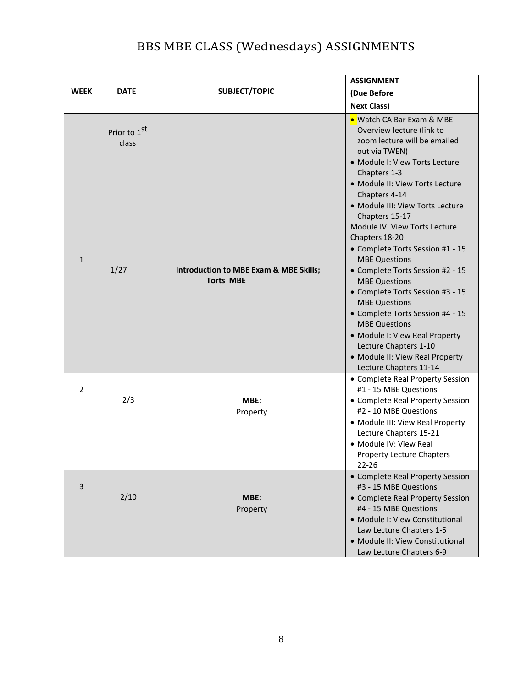## BBS MBE CLASS (Wednesdays) ASSIGNMENTS

|                |                                   |                                                            | <b>ASSIGNMENT</b>                                                                                                                                                                                                                                                                                                                                                    |
|----------------|-----------------------------------|------------------------------------------------------------|----------------------------------------------------------------------------------------------------------------------------------------------------------------------------------------------------------------------------------------------------------------------------------------------------------------------------------------------------------------------|
| <b>WEEK</b>    | <b>DATE</b>                       | SUBJECT/TOPIC                                              | (Due Before                                                                                                                                                                                                                                                                                                                                                          |
|                |                                   |                                                            | <b>Next Class)</b>                                                                                                                                                                                                                                                                                                                                                   |
|                | Prior to 1 <sup>st</sup><br>class |                                                            | • Watch CA Bar Exam & MBE<br>Overview lecture (link to<br>zoom lecture will be emailed<br>out via TWEN)<br>· Module I: View Torts Lecture<br>Chapters 1-3<br>· Module II: View Torts Lecture<br>Chapters 4-14<br>· Module III: View Torts Lecture<br>Chapters 15-17<br>Module IV: View Torts Lecture<br>Chapters 18-20                                               |
| $\mathbf{1}$   | 1/27                              | Introduction to MBE Exam & MBE Skills;<br><b>Torts MBE</b> | • Complete Torts Session #1 - 15<br><b>MBE Questions</b><br>• Complete Torts Session #2 - 15<br><b>MBE Questions</b><br>• Complete Torts Session #3 - 15<br><b>MBE Questions</b><br>• Complete Torts Session #4 - 15<br><b>MBE Questions</b><br>• Module I: View Real Property<br>Lecture Chapters 1-10<br>• Module II: View Real Property<br>Lecture Chapters 11-14 |
| $\overline{2}$ | 2/3                               | MBE:<br>Property                                           | • Complete Real Property Session<br>#1 - 15 MBE Questions<br>• Complete Real Property Session<br>#2 - 10 MBE Questions<br>• Module III: View Real Property<br>Lecture Chapters 15-21<br>• Module IV: View Real<br><b>Property Lecture Chapters</b><br>22-26                                                                                                          |
| $\mathsf{3}$   | 2/10                              | MBE:<br>Property                                           | • Complete Real Property Session<br>#3 - 15 MBE Questions<br>• Complete Real Property Session<br>#4 - 15 MBE Questions<br>• Module I: View Constitutional<br>Law Lecture Chapters 1-5<br>• Module II: View Constitutional<br>Law Lecture Chapters 6-9                                                                                                                |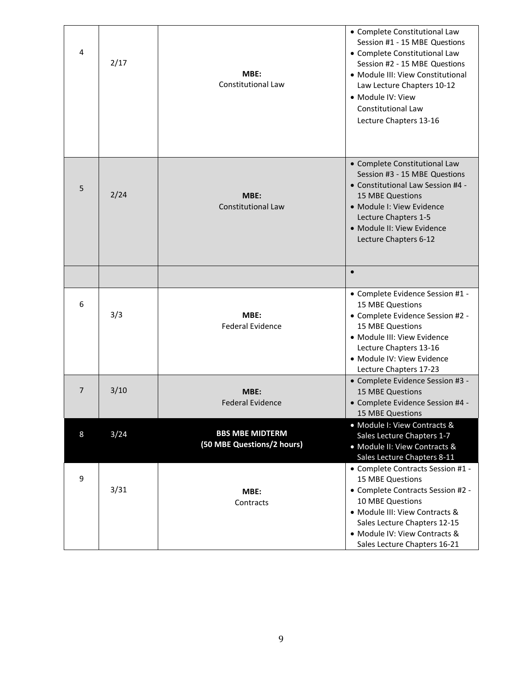| 4              | 2/17 | MBE:<br>Constitutional Law                           | • Complete Constitutional Law<br>Session #1 - 15 MBE Questions<br>• Complete Constitutional Law<br>Session #2 - 15 MBE Questions<br>• Module III: View Constitutional<br>Law Lecture Chapters 10-12<br>• Module IV: View<br><b>Constitutional Law</b><br>Lecture Chapters 13-16 |
|----------------|------|------------------------------------------------------|---------------------------------------------------------------------------------------------------------------------------------------------------------------------------------------------------------------------------------------------------------------------------------|
| 5              | 2/24 | MBE:<br><b>Constitutional Law</b>                    | • Complete Constitutional Law<br>Session #3 - 15 MBE Questions<br>• Constitutional Law Session #4 -<br><b>15 MBE Questions</b><br>· Module I: View Evidence<br>Lecture Chapters 1-5<br>· Module II: View Evidence<br>Lecture Chapters 6-12                                      |
|                |      |                                                      | $\bullet$                                                                                                                                                                                                                                                                       |
| 6              | 3/3  | MBE:<br><b>Federal Evidence</b>                      | • Complete Evidence Session #1 -<br><b>15 MBE Questions</b><br>• Complete Evidence Session #2 -<br><b>15 MBE Questions</b><br>• Module III: View Evidence<br>Lecture Chapters 13-16<br>• Module IV: View Evidence<br>Lecture Chapters 17-23                                     |
| $\overline{7}$ | 3/10 | MBE:<br><b>Federal Evidence</b>                      | • Complete Evidence Session #3 -<br>15 MBE Questions<br>• Complete Evidence Session #4 -<br>15 MBE Questions                                                                                                                                                                    |
| 8              | 3/24 | <b>BBS MBE MIDTERM</b><br>(50 MBE Questions/2 hours) | • Module I: View Contracts &<br>Sales Lecture Chapters 1-7<br>• Module II: View Contracts &<br>Sales Lecture Chapters 8-11                                                                                                                                                      |
| 9              | 3/31 | MBE:<br>Contracts                                    | • Complete Contracts Session #1 -<br>15 MBE Questions<br>• Complete Contracts Session #2 -<br>10 MBE Questions<br>• Module III: View Contracts &<br>Sales Lecture Chapters 12-15<br>• Module IV: View Contracts &<br>Sales Lecture Chapters 16-21                               |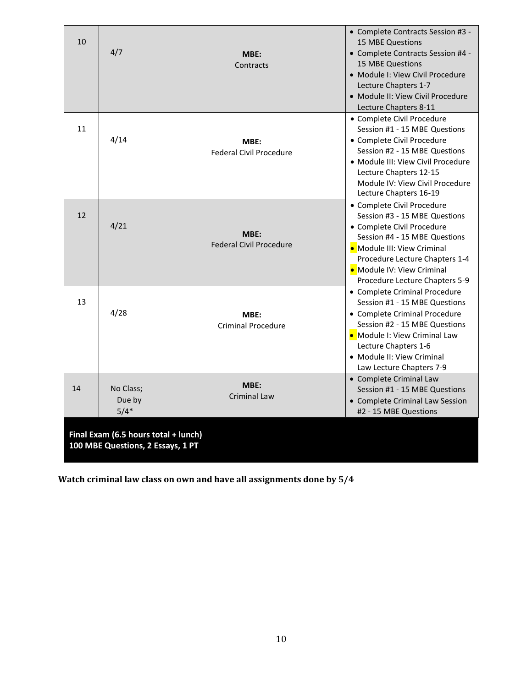| 10                                                                        | 4/7                           | MBE:<br>Contracts                      | • Complete Contracts Session #3 -<br><b>15 MBE Questions</b><br>• Complete Contracts Session #4 -<br><b>15 MBE Questions</b><br>• Module I: View Civil Procedure<br>Lecture Chapters 1-7<br>• Module II: View Civil Procedure<br>Lecture Chapters 8-11      |
|---------------------------------------------------------------------------|-------------------------------|----------------------------------------|-------------------------------------------------------------------------------------------------------------------------------------------------------------------------------------------------------------------------------------------------------------|
| 11                                                                        | 4/14                          | MBE:<br><b>Federal Civil Procedure</b> | • Complete Civil Procedure<br>Session #1 - 15 MBE Questions<br>• Complete Civil Procedure<br>Session #2 - 15 MBE Questions<br>• Module III: View Civil Procedure<br>Lecture Chapters 12-15<br>Module IV: View Civil Procedure<br>Lecture Chapters 16-19     |
| 12                                                                        | 4/21                          | MBE:<br><b>Federal Civil Procedure</b> | • Complete Civil Procedure<br>Session #3 - 15 MBE Questions<br>• Complete Civil Procedure<br>Session #4 - 15 MBE Questions<br>• Module III: View Criminal<br>Procedure Lecture Chapters 1-4<br>• Module IV: View Criminal<br>Procedure Lecture Chapters 5-9 |
| 13                                                                        | 4/28                          | MBE:<br>Criminal Procedure             | • Complete Criminal Procedure<br>Session #1 - 15 MBE Questions<br>• Complete Criminal Procedure<br>Session #2 - 15 MBE Questions<br>• Module I: View Criminal Law<br>Lecture Chapters 1-6<br>• Module II: View Criminal<br>Law Lecture Chapters 7-9         |
| 14                                                                        | No Class;<br>Due by<br>$5/4*$ | MBE:<br><b>Criminal Law</b>            | • Complete Criminal Law<br>Session #1 - 15 MBE Questions<br>• Complete Criminal Law Session<br>#2 - 15 MBE Questions                                                                                                                                        |
| Final Exam (6.5 hours total + lunch)<br>100 MBE Questions, 2 Essays, 1 PT |                               |                                        |                                                                                                                                                                                                                                                             |

**Watch criminal law class on own and have all assignments done by 5/4**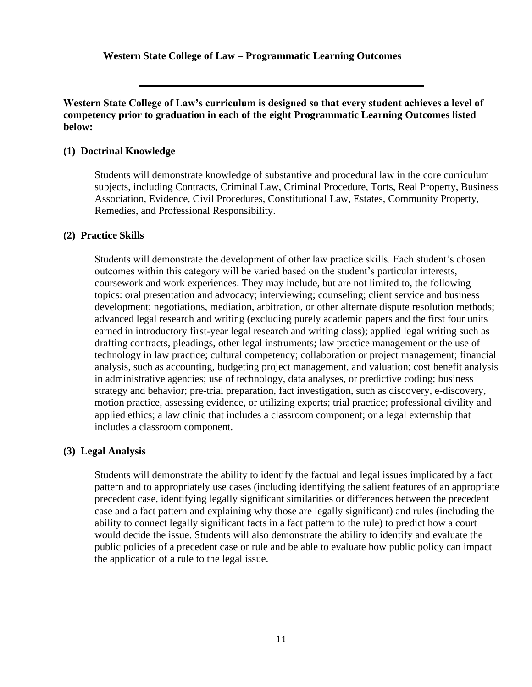**Western State College of Law – Programmatic Learning Outcomes**

#### **Western State College of Law's curriculum is designed so that every student achieves a level of competency prior to graduation in each of the eight Programmatic Learning Outcomes listed below:**

#### **(1) Doctrinal Knowledge**

Students will demonstrate knowledge of substantive and procedural law in the core curriculum subjects, including Contracts, Criminal Law, Criminal Procedure, Torts, Real Property, Business Association, Evidence, Civil Procedures, Constitutional Law, Estates, Community Property, Remedies, and Professional Responsibility.

#### **(2) Practice Skills**

Students will demonstrate the development of other law practice skills. Each student's chosen outcomes within this category will be varied based on the student's particular interests, coursework and work experiences. They may include, but are not limited to, the following topics: oral presentation and advocacy; interviewing; counseling; client service and business development; negotiations, mediation, arbitration, or other alternate dispute resolution methods; advanced legal research and writing (excluding purely academic papers and the first four units earned in introductory first-year legal research and writing class); applied legal writing such as drafting contracts, pleadings, other legal instruments; law practice management or the use of technology in law practice; cultural competency; collaboration or project management; financial analysis, such as accounting, budgeting project management, and valuation; cost benefit analysis in administrative agencies; use of technology, data analyses, or predictive coding; business strategy and behavior; pre-trial preparation, fact investigation, such as discovery, e-discovery, motion practice, assessing evidence, or utilizing experts; trial practice; professional civility and applied ethics; a law clinic that includes a classroom component; or a legal externship that includes a classroom component.

#### **(3) Legal Analysis**

Students will demonstrate the ability to identify the factual and legal issues implicated by a fact pattern and to appropriately use cases (including identifying the salient features of an appropriate precedent case, identifying legally significant similarities or differences between the precedent case and a fact pattern and explaining why those are legally significant) and rules (including the ability to connect legally significant facts in a fact pattern to the rule) to predict how a court would decide the issue. Students will also demonstrate the ability to identify and evaluate the public policies of a precedent case or rule and be able to evaluate how public policy can impact the application of a rule to the legal issue.